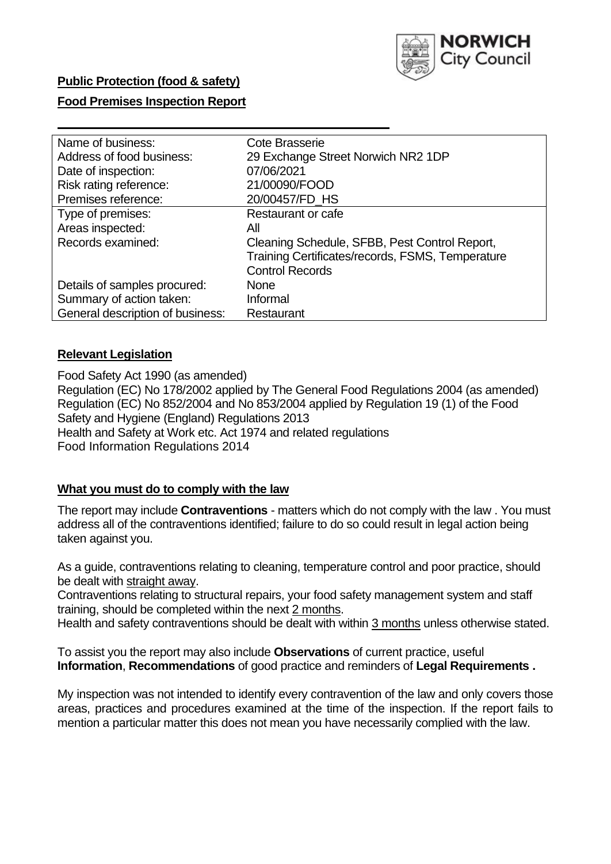

## **Public Protection (food & safety)**

### **Food Premises Inspection Report**

| Name of business:                | <b>Cote Brasserie</b>                            |  |  |  |  |
|----------------------------------|--------------------------------------------------|--|--|--|--|
| Address of food business:        | 29 Exchange Street Norwich NR2 1DP               |  |  |  |  |
| Date of inspection:              | 07/06/2021                                       |  |  |  |  |
| Risk rating reference:           | 21/00090/FOOD                                    |  |  |  |  |
| Premises reference:              | 20/00457/FD_HS                                   |  |  |  |  |
| Type of premises:                | Restaurant or cafe                               |  |  |  |  |
| Areas inspected:                 | All                                              |  |  |  |  |
| Records examined:                | Cleaning Schedule, SFBB, Pest Control Report,    |  |  |  |  |
|                                  | Training Certificates/records, FSMS, Temperature |  |  |  |  |
|                                  | <b>Control Records</b>                           |  |  |  |  |
| Details of samples procured:     | <b>None</b>                                      |  |  |  |  |
| Summary of action taken:         | Informal                                         |  |  |  |  |
| General description of business: | Restaurant                                       |  |  |  |  |

## **Relevant Legislation**

 Food Safety Act 1990 (as amended) Regulation (EC) No 178/2002 applied by The General Food Regulations 2004 (as amended) Regulation (EC) No 852/2004 and No 853/2004 applied by Regulation 19 (1) of the Food Safety and Hygiene (England) Regulations 2013 Health and Safety at Work etc. Act 1974 and related regulations Food Information Regulations 2014

### **What you must do to comply with the law**

 The report may include **Contraventions** - matters which do not comply with the law . You must address all of the contraventions identified; failure to do so could result in legal action being taken against you.

 As a guide, contraventions relating to cleaning, temperature control and poor practice, should be dealt with straight away.

 Contraventions relating to structural repairs, your food safety management system and staff training, should be completed within the next 2 months.

Health and safety contraventions should be dealt with within 3 months unless otherwise stated.

 To assist you the report may also include **Observations** of current practice, useful **Information**, **Recommendations** of good practice and reminders of **Legal Requirements .** 

 My inspection was not intended to identify every contravention of the law and only covers those areas, practices and procedures examined at the time of the inspection. If the report fails to mention a particular matter this does not mean you have necessarily complied with the law.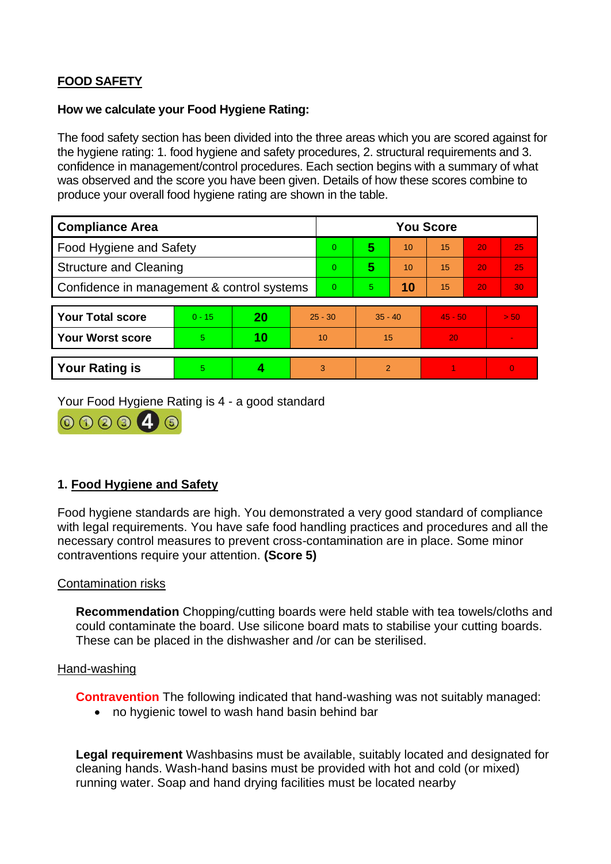# **FOOD SAFETY**

#### **How we calculate your Food Hygiene Rating:**

 The food safety section has been divided into the three areas which you are scored against for the hygiene rating: 1. food hygiene and safety procedures, 2. structural requirements and 3. confidence in management/control procedures. Each section begins with a summary of what was observed and the score you have been given. Details of how these scores combine to produce your overall food hygiene rating are shown in the table.

| <b>Compliance Area</b>                     |          |    |           | <b>You Score</b> |                |    |           |    |          |  |  |
|--------------------------------------------|----------|----|-----------|------------------|----------------|----|-----------|----|----------|--|--|
| Food Hygiene and Safety                    |          |    |           | $\overline{0}$   | 5              | 10 | 15        | 20 | 25       |  |  |
| <b>Structure and Cleaning</b>              |          |    |           | $\Omega$         | 5              | 10 | 15        | 20 | 25       |  |  |
| Confidence in management & control systems |          |    | $\Omega$  | 5                | 10             | 15 | 20        | 30 |          |  |  |
|                                            |          |    |           |                  |                |    |           |    |          |  |  |
| <b>Your Total score</b>                    | $0 - 15$ | 20 | $25 - 30$ |                  | $35 - 40$      |    | $45 - 50$ |    | > 50     |  |  |
| <b>Your Worst score</b>                    | 5        | 10 | 10        |                  | 15             |    | 20        |    |          |  |  |
|                                            |          |    |           |                  |                |    |           |    |          |  |  |
| <b>Your Rating is</b>                      | 5        |    |           | 3                | $\overline{2}$ |    |           |    | $\Omega$ |  |  |

Your Food Hygiene Rating is 4 - a good standard



## **1. Food Hygiene and Safety**

 with legal requirements. You have safe food handling practices and procedures and all the Food hygiene standards are high. You demonstrated a very good standard of compliance necessary control measures to prevent cross-contamination are in place. Some minor contraventions require your attention. **(Score 5)** 

### Contamination risks

 These can be placed in the dishwasher and /or can be sterilised. **Recommendation** Chopping/cutting boards were held stable with tea towels/cloths and could contaminate the board. Use silicone board mats to stabilise your cutting boards.

#### Hand-washing

**Contravention** The following indicated that hand-washing was not suitably managed:

• no hygienic towel to wash hand basin behind bar

 **Legal requirement** Washbasins must be available, suitably located and designated for cleaning hands. Wash-hand basins must be provided with hot and cold (or mixed) running water. Soap and hand drying facilities must be located nearby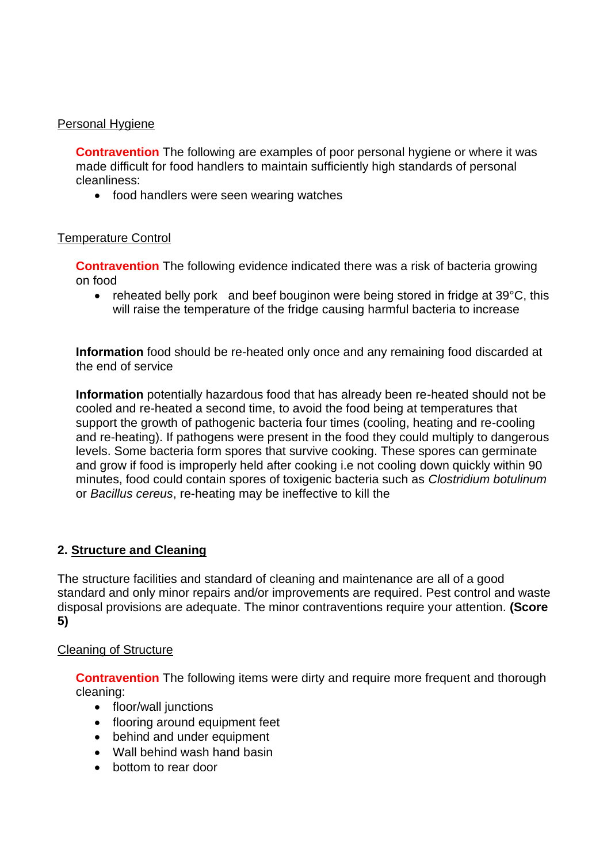## Personal Hygiene

 made difficult for food handlers to maintain sufficiently high standards of personal **Contravention** The following are examples of poor personal hygiene or where it was cleanliness:

• food handlers were seen wearing watches

## Temperature Control

 **Contravention** The following evidence indicated there was a risk of bacteria growing on food

• reheated belly pork and beef bouginon were being stored in fridge at 39°C, this will raise the temperature of the fridge causing harmful bacteria to increase

**Information** food should be re-heated only once and any remaining food discarded at the end of service

 cooled and re-heated a second time, to avoid the food being at temperatures that **Information** potentially hazardous food that has already been re-heated should not be support the growth of pathogenic bacteria four times (cooling, heating and re-cooling and re-heating). If pathogens were present in the food they could multiply to dangerous levels. Some bacteria form spores that survive cooking. These spores can germinate and grow if food is improperly held after cooking i.e not cooling down quickly within 90 minutes, food could contain spores of toxigenic bacteria such as *Clostridium botulinum*  or *Bacillus cereus*, re-heating may be ineffective to kill the

## **2. Structure and Cleaning**

 The structure facilities and standard of cleaning and maintenance are all of a good standard and only minor repairs and/or improvements are required. Pest control and waste disposal provisions are adequate. The minor contraventions require your attention. **(Score 5)** 

### Cleaning of Structure

**Contravention** The following items were dirty and require more frequent and thorough cleaning:

- floor/wall junctions
- flooring around equipment feet
- behind and under equipment
- Wall behind wash hand basin
- bottom to rear door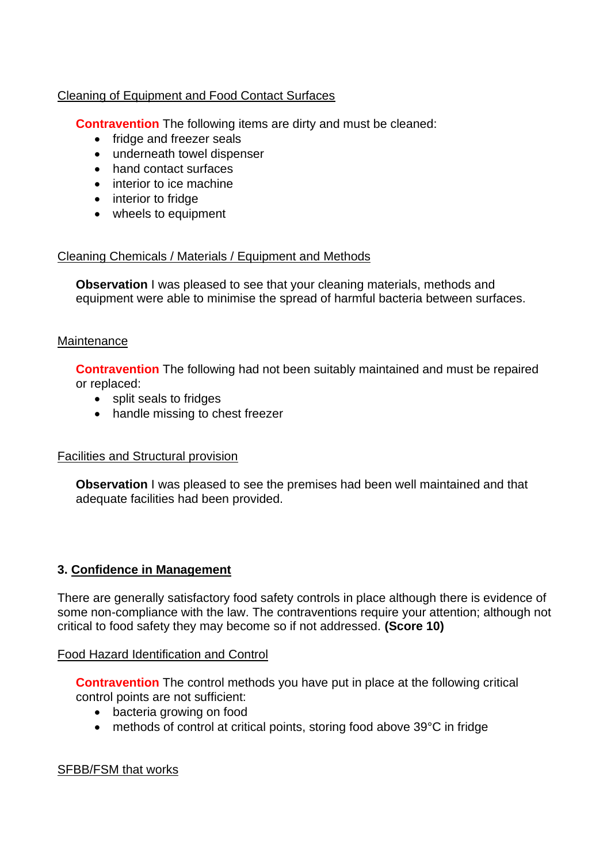## Cleaning of Equipment and Food Contact Surfaces

**Contravention** The following items are dirty and must be cleaned:

- fridge and freezer seals
- underneath towel dispenser
- hand contact surfaces
- interior to ice machine
- interior to fridge
- wheels to equipment

## Cleaning Chemicals / Materials / Equipment and Methods

**Observation** I was pleased to see that your cleaning materials, methods and equipment were able to minimise the spread of harmful bacteria between surfaces.

## **Maintenance**

**Contravention** The following had not been suitably maintained and must be repaired or replaced:

- split seals to fridges
- handle missing to chest freezer

## Facilities and Structural provision

 **Observation** I was pleased to see the premises had been well maintained and that adequate facilities had been provided.

## **3. Confidence in Management**

 There are generally satisfactory food safety controls in place although there is evidence of some non-compliance with the law. The contraventions require your attention; although not critical to food safety they may become so if not addressed. **(Score 10)** 

### Food Hazard Identification and Control

 **Contravention** The control methods you have put in place at the following critical control points are not sufficient:

- bacteria growing on food
- methods of control at critical points, storing food above 39°C in fridge

### SFBB/FSM that works